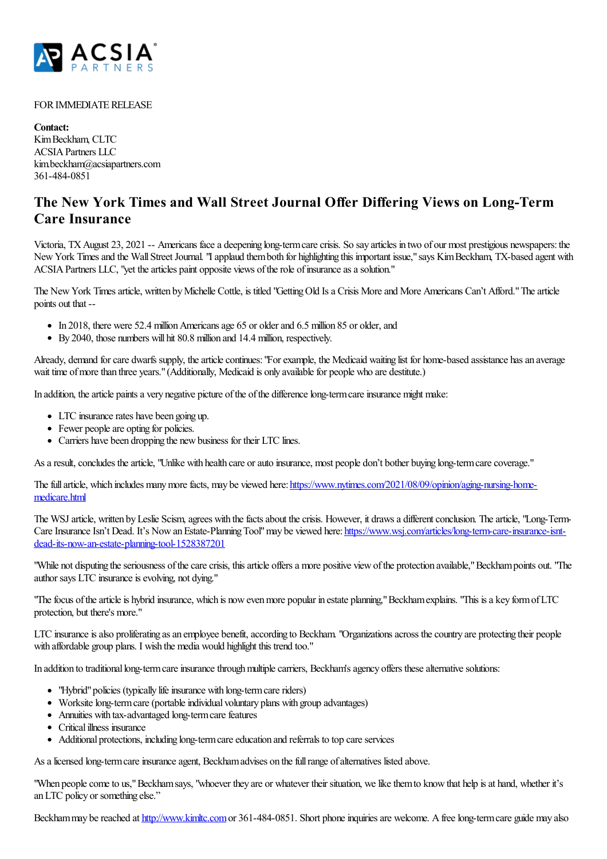

## FOR IMMEDIATE RELEASE

**Contact:** KimBeckham, CLTC ACSIAPartners LLC kim.beckham@acsiapartners.com 361-484-0851

## **The New York Times and Wall Street Journal Offer Differing Views on Long-Term Care Insurance**

Victoria, TX August 23, 2021 -- Americans face a deepening long-term care crisis. So say articles in two of our most prestigious newspapers: the New York Times and the Wall Street Journal. "I applaud them both for highlighting this important issue," says Kim Beckham, TX-based agent with ACSIA Partners LLC, "yet the articles paint opposite views of the role of insurance as a solution."

The New York Times article, written by Michelle Cottle, is titled "Getting Old Is a Crisis More and More Americans Can't Afford." The article points out that --

- In 2018, there were 52.4 million Americans age 65 or older and 6.5 million 85 or older, and
- By 2040, those numbers will hit 80.8 million and 14.4 million, respectively.

Already, demand for care dwarfs supply, the article continues: "For example, the Medicaid waiting list for home-based assistance has an average wait time of more than three years." (Additionally, Medicaid is only available for people who are destitute.)

In addition, the article paints a very negative picture of the of the difference long-term care insurance might make:

- LTC insurance rates have been going up.
- Fewer people are opting for policies.
- Carriers have been dropping the new business for their LTC lines.

As a result, concludes the article, "Unlike with health care or auto insurance, most people don't bother buying long-term care coverage."

The full article, which includes many more facts, may be viewed here: [https://www.nytimes.com/2021/08/09/opinion/aging-nursing-home](https://www.nytimes.com/2021/08/09/opinion/aging-nursing-home-medicare.html)medicare.html

The WSJ article, written by Leslie Scism, agrees with the facts about the crisis. However, it draws a different conclusion. The article, "Long-TermCare Insurance Isn't Dead. It's Now an Estate-Planning Tool" may be viewed here: [https://www.wsj.com/articles/long-term-care-insurance-isnt](https://www.wsj.com/articles/long-term-care-insurance-isnt-dead-its-now-an-estate-planning-tool-1528387201)dead-its-now-an-estate-planning-tool-1528387201

"While not disputing the seriousness of the care crisis, this article offers a more positive view of the protection available," Beckham points out. "The author says LTC insurance is evolving, not dying."

"The focus of the article is hybrid insurance, which is now even more popular in estate planning," Beckham explains. "This is a key form of LTC protection, but there's more."

LTC insurance is also proliferating as an employee benefit, according to Beckham. "Organizations across the country are protecting their people with affordable group plans. I wish the media would highlight this trend too."

In addition to traditional long-term care insurance through multiple carriers, Beckham's agency offers these alternative solutions:

- "Hybrid" policies (typically life insurance with long-term care riders)
- Worksite long-term care (portable individual voluntary plans with group advantages)
- Annuities with tax-advantaged long-term care features
- Critical illness insurance
- Additional protections, including long-term care education and referrals to top care services

As a licensed long-term care insurance agent, Beckham advises on the full range of alternatives listed above.

"When people come to us," Beckham says, "whoever they are or whatever their situation, we like them to know that help is at hand, whether it's anLTC policy or something else."

Beckham may be reached at <http://www.kimltc.com> or 361-484-0851. Short phone inquiries are welcome. A free long-term care guide may also